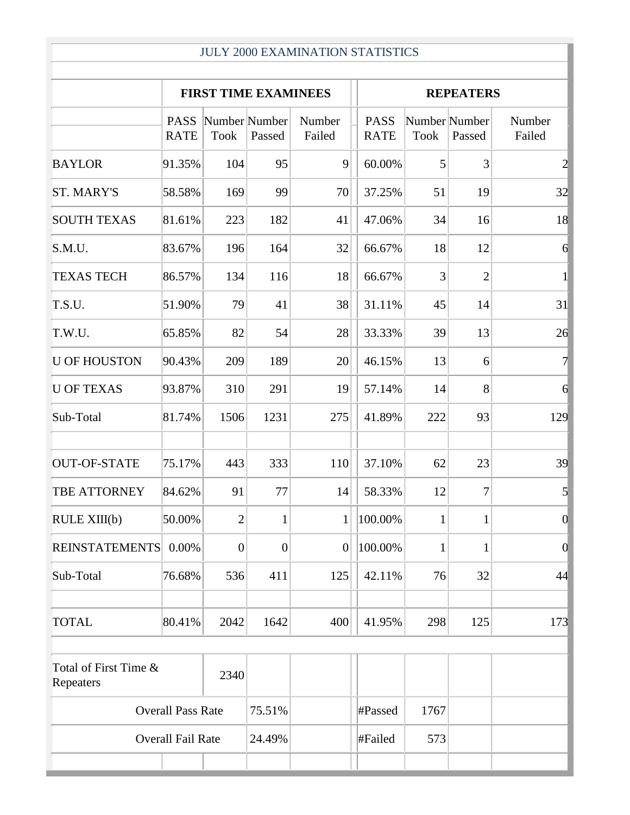## JULY 2000 EXAMINATION STATISTICS

|                                            | <b>FIRST TIME EXAMINEES</b> |                              |                |                  |                            | <b>REPEATERS</b>             |                |                  |  |
|--------------------------------------------|-----------------------------|------------------------------|----------------|------------------|----------------------------|------------------------------|----------------|------------------|--|
|                                            | <b>PASS</b><br><b>RATE</b>  | Number Number<br><b>Took</b> | Passed         | Number<br>Failed | <b>PASS</b><br><b>RATE</b> | Number Number<br><b>Took</b> | Passed         | Number<br>Failed |  |
| <b>BAYLOR</b>                              | 91.35%                      | 104                          | 95             | 9                | 60.00%                     | 5                            | 3              | $\overline{c}$   |  |
| <b>ST. MARY'S</b>                          | 58.58%                      | 169                          | 99             | 70               | 37.25%                     | 51                           | 19             | 32               |  |
| <b>SOUTH TEXAS</b>                         | 81.61%                      | 223                          | 182            | 41               | 47.06%                     | 34                           | 16             | 18               |  |
| S.M.U.                                     | 83.67%                      | 196                          | 164            | 32               | 66.67%                     | 18                           | 12             | 6                |  |
| <b>TEXAS TECH</b>                          | 86.57%                      | 134                          | 116            | 18               | 66.67%                     | 3                            | $\overline{2}$ | $\mathbf{1}$     |  |
| T.S.U.                                     | 51.90%                      | 79                           | 41             | 38               | 31.11%                     | 45                           | 14             | 31               |  |
| T.W.U.                                     | 65.85%                      | 82                           | 54             | 28               | 33.33%                     | 39                           | 13             | 26               |  |
| <b>U OF HOUSTON</b>                        | 90.43%                      | 209                          | 189            | 20               | 46.15%                     | 13                           | 6              | $\overline{7}$   |  |
| <b>U OF TEXAS</b>                          | 93.87%                      | 310                          | 291            | 19               | 57.14%                     | 14                           | 8              | $\overline{6}$   |  |
| Sub-Total                                  | 81.74%                      | 1506                         | 1231           | 275              | 41.89%                     | 222                          | 93             | 129              |  |
| <b>OUT-OF-STATE</b>                        | 75.17%                      | 443                          | 333            | 110              | 37.10%                     | 62                           | 23             | 39               |  |
| TBE ATTORNEY                               | 84.62%                      | 91                           | 77             | 14               | 58.33%                     | 12                           | 7              | $\overline{5}$   |  |
| RULE XIII(b)                               | 50.00%                      | $\overline{2}$               | 1              | $\mathbf{1}$     | 100.00%                    | $\mathbf{1}$                 | 1              | $\overline{0}$   |  |
| <b>REINSTATEMENTS</b>                      | 0.00%                       | $\overline{0}$               | $\overline{0}$ | $\boldsymbol{0}$ | 100.00%                    | $\mathbf{1}$                 | 1              | $\overline{0}$   |  |
| Sub-Total                                  | 76.68%                      | 536                          | 411            | 125              | 42.11%                     | 76                           | 32             | 44               |  |
| <b>TOTAL</b>                               | 80.41%                      | 2042                         | 1642           | 400              | 41.95%                     | 298                          | 125            | 173              |  |
| Total of First Time &<br>2340<br>Repeaters |                             |                              |                |                  |                            |                              |                |                  |  |
| <b>Overall Pass Rate</b>                   |                             |                              | 75.51%         |                  | #Passed                    | 1767                         |                |                  |  |
| <b>Overall Fail Rate</b>                   |                             |                              | 24.49%         |                  | #Failed                    | 573                          |                |                  |  |
|                                            |                             |                              |                |                  |                            |                              |                |                  |  |